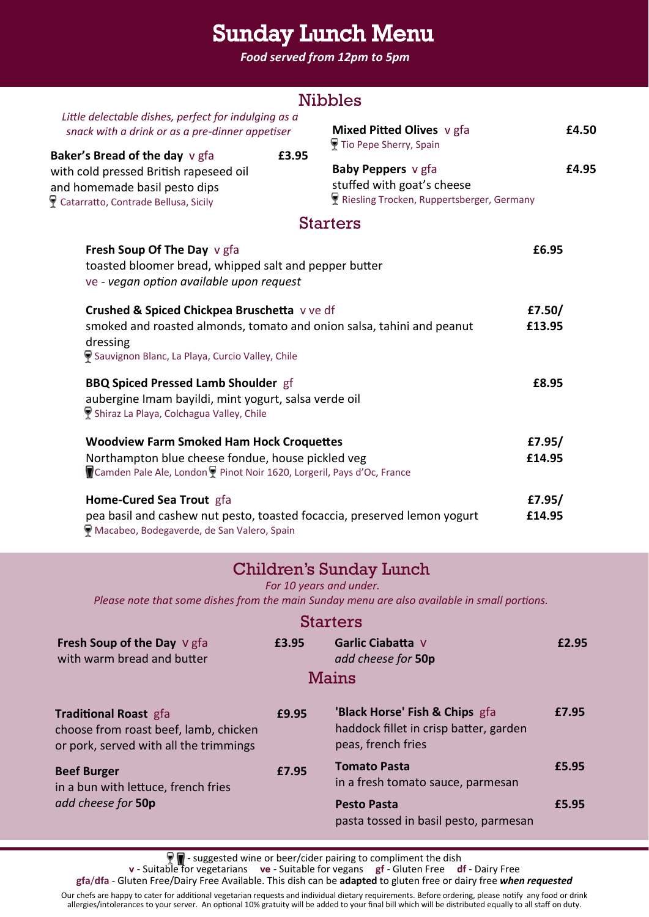# Sunday Lunch Menu

*Food served from 12pm to 5pm*

| <b>Nibbles</b>                                                                                                                                                                      |                  |                                                                                               |       |  |  |  |
|-------------------------------------------------------------------------------------------------------------------------------------------------------------------------------------|------------------|-----------------------------------------------------------------------------------------------|-------|--|--|--|
| Little delectable dishes, perfect for indulging as a<br>snack with a drink or as a pre-dinner appetiser                                                                             |                  | Mixed Pitted Olives v gfa<br>Tio Pepe Sherry, Spain                                           | £4.50 |  |  |  |
| Baker's Bread of the day v gfa<br>with cold pressed British rapeseed oil<br>and homemade basil pesto dips<br>Catarratto, Contrade Bellusa, Sicily                                   | £3.95            | Baby Peppers v gfa<br>stuffed with goat's cheese<br>Riesling Trocken, Ruppertsberger, Germany | £4.95 |  |  |  |
|                                                                                                                                                                                     |                  | <b>Starters</b>                                                                               |       |  |  |  |
| £6.95<br>Fresh Soup Of The Day v gfa<br>toasted bloomer bread, whipped salt and pepper butter<br>ve - vegan option available upon request                                           |                  |                                                                                               |       |  |  |  |
| Crushed & Spiced Chickpea Bruschetta vve df<br>smoked and roasted almonds, tomato and onion salsa, tahini and peanut<br>dressing<br>Sauvignon Blanc, La Playa, Curcio Valley, Chile | £7.50/<br>£13.95 |                                                                                               |       |  |  |  |
| <b>BBQ Spiced Pressed Lamb Shoulder gf</b><br>aubergine Imam bayildi, mint yogurt, salsa verde oil<br>Shiraz La Playa, Colchagua Valley, Chile                                      | £8.95            |                                                                                               |       |  |  |  |
| <b>Woodview Farm Smoked Ham Hock Croquettes</b><br>Northampton blue cheese fondue, house pickled veg<br>Camden Pale Ale, London P Pinot Noir 1620, Lorgeril, Pays d'Oc, France      | £7.95/<br>£14.95 |                                                                                               |       |  |  |  |
| Home-Cured Sea Trout gfa<br>£7.95/<br>pea basil and cashew nut pesto, toasted focaccia, preserved lemon yogurt<br>£14.95<br>Macabeo, Bodegaverde, de San Valero, Spain              |                  |                                                                                               |       |  |  |  |
| Children's Sunday Lunch<br>For 10 years and under.<br>Please note that some dishes from the main Sunday menu are also available in small portions.                                  |                  |                                                                                               |       |  |  |  |
| <b>Starters</b>                                                                                                                                                                     |                  |                                                                                               |       |  |  |  |
| Fresh Soup of the Day V gfa<br>with warm bread and butter                                                                                                                           | £3.95            | Garlic Ciabatta V<br>add cheese for 50p                                                       | £2.95 |  |  |  |

#### Mains

| <b>Traditional Roast gfa</b><br>choose from roast beef, lamb, chicken<br>or pork, served with all the trimmings | £9.95 | 'Black Horse' Fish & Chips gfa<br>haddock fillet in crisp batter, garden<br>peas, french fries | £7.95 |
|-----------------------------------------------------------------------------------------------------------------|-------|------------------------------------------------------------------------------------------------|-------|
| <b>Beef Burger</b><br>in a bun with lettuce, french fries<br>add cheese for 50p                                 | £7.95 | <b>Tomato Pasta</b><br>in a fresh tomato sauce, parmesan                                       | £5.95 |
|                                                                                                                 |       | <b>Pesto Pasta</b><br>pasta tossed in basil pesto, parmesan                                    | £5.95 |

- suggested wine or beer/cider pairing to compliment the dish

**v** - Suitable for vegetarians **ve** - Suitable for vegans **gf** - Gluten Free **df** - Dairy Free

**gfa**/**dfa** - Gluten Free/Dairy Free Available. This dish can be **adapted** to gluten free or dairy free *when requested*

Our chefs are happy to cater for additional vegetarian requests and individual dietary requirements. Before ordering, please notify any food or drink allergies/intolerances to your server. An optional 10% gratuity will be added to your final bill which will be distributed equally to all staff on duty.